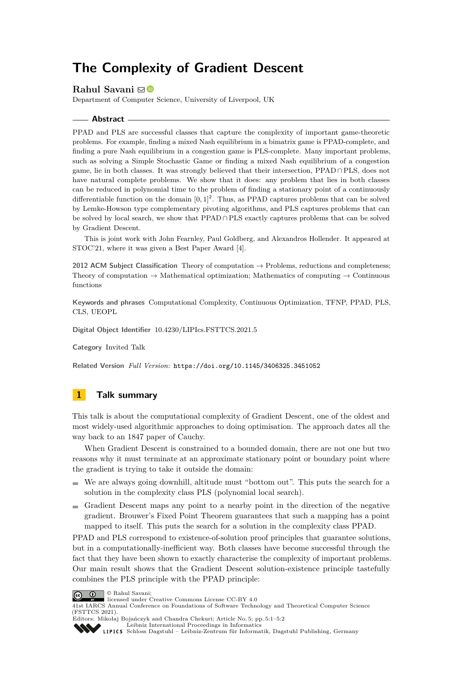# **The Complexity of Gradient Descent**

### **Rahul Savani** ⊠<sup>®</sup>

Department of Computer Science, University of Liverpool, UK

#### **Abstract**

PPAD and PLS are successful classes that capture the complexity of important game-theoretic problems. For example, finding a mixed Nash equilibrium in a bimatrix game is PPAD-complete, and finding a pure Nash equilibrium in a congestion game is PLS-complete. Many important problems, such as solving a Simple Stochastic Game or finding a mixed Nash equilibrium of a congestion game, lie in both classes. It was strongly believed that their intersection, PPAD ∩PLS, does not have natural complete problems. We show that it does: any problem that lies in both classes can be reduced in polynomial time to the problem of finding a stationary point of a continuously differentiable function on the domain  $[0,1]^2$ . Thus, as PPAD captures problems that can be solved by Lemke-Howson type complementary pivoting algorithms, and PLS captures problems that can be solved by local search, we show that PPAD ∩PLS exactly captures problems that can be solved by Gradient Descent.

This is joint work with John Fearnley, Paul Goldberg, and Alexandros Hollender. It appeared at STOC'21, where it was given a Best Paper Award [\[4\]](#page-1-0).

**2012 ACM Subject Classification** Theory of computation → Problems, reductions and completeness; Theory of computation  $\rightarrow$  Mathematical optimization; Mathematics of computing  $\rightarrow$  Continuous functions

**Keywords and phrases** Computational Complexity, Continuous Optimization, TFNP, PPAD, PLS, CLS, UEOPL

**Digital Object Identifier** [10.4230/LIPIcs.FSTTCS.2021.5](https://doi.org/10.4230/LIPIcs.FSTTCS.2021.5)

**Category** Invited Talk

**Related Version** *Full Version*: <https://doi.org/10.1145/3406325.3451052>

## **1 Talk summary**

This talk is about the computational complexity of Gradient Descent, one of the oldest and most widely-used algorithmic approaches to doing optimisation. The approach dates all the way back to an 1847 paper of Cauchy.

When Gradient Descent is constrained to a bounded domain, there are not one but two reasons why it must terminate at an approximate stationary point or boundary point where the gradient is trying to take it outside the domain:

- We are always going downhill, altitude must "bottom out". This puts the search for a solution in the complexity class PLS (polynomial local search).
- $\blacksquare$  Gradient Descent maps any point to a nearby point in the direction of the negative gradient. Brouwer's Fixed Point Theorem guarantees that such a mapping has a point mapped to itself. This puts the search for a solution in the complexity class PPAD.

PPAD and PLS correspond to existence-of-solution proof principles that guarantee solutions, but in a computationally-inefficient way. Both classes have become successful through the fact that they have been shown to exactly characterise the complexity of important problems. Our main result shows that the Gradient Descent solution-existence principle tastefully combines the PLS principle with the PPAD principle:



licensed under Creative Commons License CC-BY 4.0

41st IARCS Annual Conference on Foundations of Software Technology and Theoretical Computer Science (FSTTCS 2021). Editors: Mikołaj Bojańczyk and Chandra Chekuri; Article No. 5; pp. 5:1–5:2

[Leibniz International Proceedings in Informatics](https://www.dagstuhl.de/lipics/)

[Schloss Dagstuhl – Leibniz-Zentrum für Informatik, Dagstuhl Publishing, Germany](https://www.dagstuhl.de)